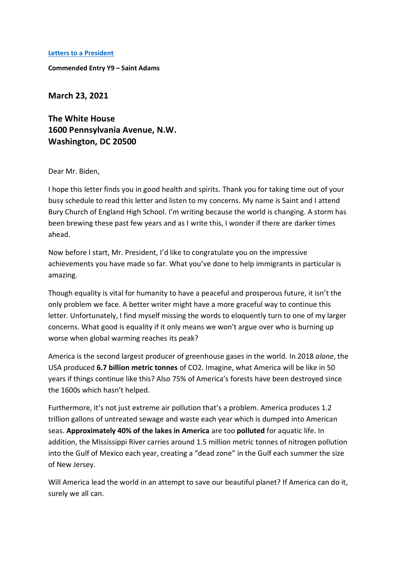## **Letters to [a President](https://www.alc.manchester.ac.uk/connect/schools/outreach/as-competition/)**

**Commended Entry Y9 – Saint Adams**

**March 23, 2021** 

**The White House 1600 Pennsylvania Avenue, N.W. Washington, DC 20500**

Dear Mr. Biden,

I hope this letter finds you in good health and spirits. Thank you for taking time out of your busy schedule to read this letter and listen to my concerns. My name is Saint and I attend Bury Church of England High School. I'm writing because the world is changing. A storm has been brewing these past few years and as I write this, I wonder if there are darker times ahead.

Now before I start, Mr. President, I'd like to congratulate you on the impressive achievements you have made so far. What you've done to help immigrants in particular is amazing.

Though equality is vital for humanity to have a peaceful and prosperous future, it isn't the only problem we face. A better writer might have a more graceful way to continue this letter. Unfortunately, I find myself missing the words to eloquently turn to one of my larger concerns. What good is equality if it only means we won't argue over who is burning up worse when global warming reaches its peak?

America is the second largest producer of greenhouse gases in the world. In 2018 *alone*, the USA produced **6.7 billion metric tonnes** of CO2. Imagine, what America will be like in 50 years if things continue like this? Also 75% of America's forests have been destroyed since the 1600s which hasn't helped.

Furthermore, it's not just extreme air pollution that's a problem. America produces 1.2 trillion gallons of untreated sewage and waste each year which is dumped into American seas. **Approximately 40% of the lakes in America** are too **polluted** for aquatic life. In addition, the Mississippi River carries around 1.5 million metric tonnes of nitrogen pollution into the Gulf of Mexico each year, creating a "dead zone" in the Gulf each summer the size of New Jersey.

Will America lead the world in an attempt to save our beautiful planet? If America can do it, surely we all can.